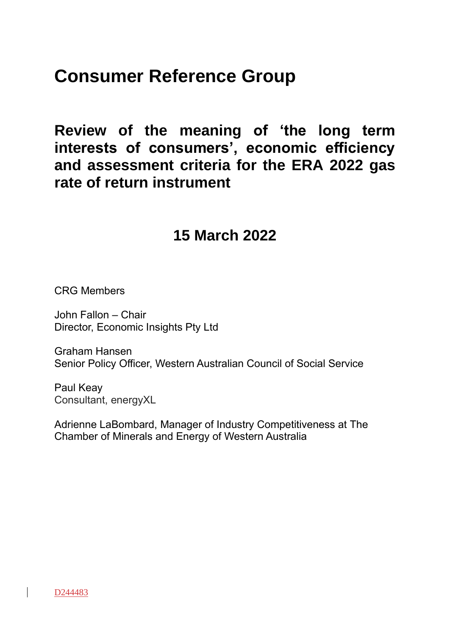## **Consumer Reference Group**

**Review of the meaning of 'the long term interests of consumers', economic efficiency and assessment criteria for the ERA 2022 gas rate of return instrument**

### **15 March 2022**

CRG Members

John Fallon – Chair Director, Economic Insights Pty Ltd

Graham Hansen Senior Policy Officer, Western Australian Council of Social Service

Paul Keay Consultant, energyXL

Adrienne LaBombard, Manager of Industry Competitiveness at The Chamber of Minerals and Energy of Western Australia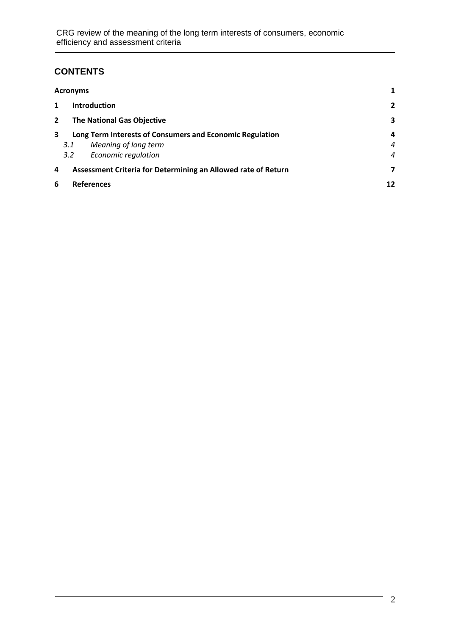#### **CONTENTS**

| <b>Acronyms</b>                                     |                                                               |                      |                |
|-----------------------------------------------------|---------------------------------------------------------------|----------------------|----------------|
| 1                                                   |                                                               | <b>Introduction</b>  | $\overline{2}$ |
| <b>The National Gas Objective</b><br>$\overline{2}$ |                                                               | 3                    |                |
| 3                                                   | Long Term Interests of Consumers and Economic Regulation      |                      | 4              |
|                                                     | 3.1                                                           | Meaning of long term | $\overline{4}$ |
|                                                     | 3.2                                                           | Economic regulation  | $\overline{4}$ |
| 4                                                   | Assessment Criteria for Determining an Allowed rate of Return |                      | 7              |
| 6<br><b>References</b>                              |                                                               | 12                   |                |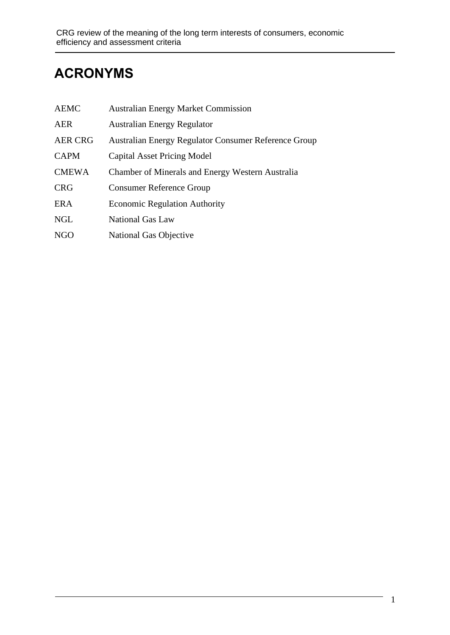## **ACRONYMS**

| <b>AEMC</b>    | <b>Australian Energy Market Commission</b>           |
|----------------|------------------------------------------------------|
| <b>AER</b>     | <b>Australian Energy Regulator</b>                   |
| <b>AER CRG</b> | Australian Energy Regulator Consumer Reference Group |
| <b>CAPM</b>    | <b>Capital Asset Pricing Model</b>                   |
| <b>CMEWA</b>   | Chamber of Minerals and Energy Western Australia     |
| <b>CRG</b>     | <b>Consumer Reference Group</b>                      |
| <b>ERA</b>     | <b>Economic Regulation Authority</b>                 |
| <b>NGL</b>     | <b>National Gas Law</b>                              |
| <b>NGO</b>     | National Gas Objective                               |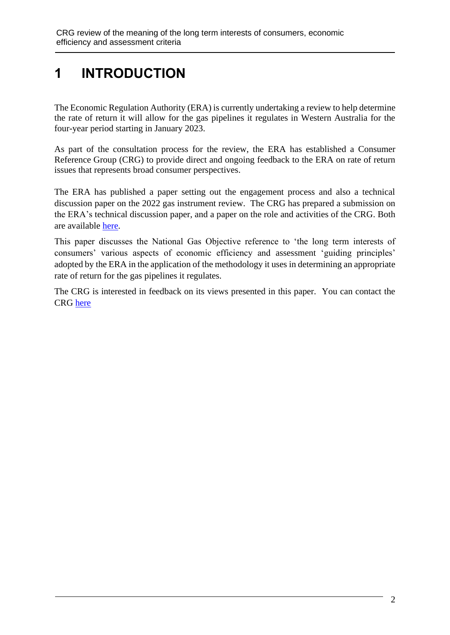## **1 INTRODUCTION**

The Economic Regulation Authority (ERA) is currently undertaking a review to help determine the rate of return it will allow for the gas pipelines it regulates in Western Australia for the four-year period starting in January 2023.

As part of the consultation process for the review, the ERA has established a Consumer Reference Group (CRG) to provide direct and ongoing feedback to the ERA on rate of return issues that represents broad consumer perspectives.

The ERA has published a paper setting out the engagement process and also a technical discussion paper on the 2022 gas instrument review. The CRG has prepared a submission on the ERA's technical discussion paper, and a paper on the role and activities of the CRG. Both are available [here.](https://www.erawa.com.au/gas/gas-access/consumer-reference-group-gas-rate-of-return-instrument)

This paper discusses the National Gas Objective reference to 'the long term interests of consumers' various aspects of economic efficiency and assessment 'guiding principles' adopted by the ERA in the application of the methodology it uses in determining an appropriate rate of return for the gas pipelines it regulates.

The CRG is interested in feedback on its views presented in this paper. You can contact the CRG [here](https://www.erawa.com.au/gas/gas-access/consumer-reference-group-gas-rate-of-return-instrument)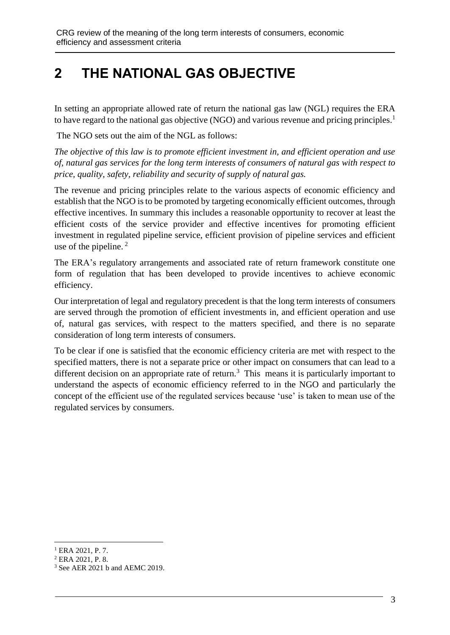## **2 THE NATIONAL GAS OBJECTIVE**

In setting an appropriate allowed rate of return the national gas law (NGL) requires the ERA to have regard to the national gas objective (NGO) and various revenue and pricing principles.<sup>1</sup>

The NGO sets out the aim of the NGL as follows:

*The objective of this law is to promote efficient investment in, and efficient operation and use of, natural gas services for the long term interests of consumers of natural gas with respect to price, quality, safety, reliability and security of supply of natural gas.*

The revenue and pricing principles relate to the various aspects of economic efficiency and establish that the NGO is to be promoted by targeting economically efficient outcomes, through effective incentives. In summary this includes a reasonable opportunity to recover at least the efficient costs of the service provider and effective incentives for promoting efficient investment in regulated pipeline service, efficient provision of pipeline services and efficient use of the pipeline. $<sup>2</sup>$ </sup>

The ERA's regulatory arrangements and associated rate of return framework constitute one form of regulation that has been developed to provide incentives to achieve economic efficiency.

Our interpretation of legal and regulatory precedent is that the long term interests of consumers are served through the promotion of efficient investments in, and efficient operation and use of, natural gas services, with respect to the matters specified, and there is no separate consideration of long term interests of consumers.

To be clear if one is satisfied that the economic efficiency criteria are met with respect to the specified matters, there is not a separate price or other impact on consumers that can lead to a different decision on an appropriate rate of return.<sup>3</sup> This means it is particularly important to understand the aspects of economic efficiency referred to in the NGO and particularly the concept of the efficient use of the regulated services because 'use' is taken to mean use of the regulated services by consumers.

<sup>&</sup>lt;sup>1</sup> ERA 2021, P. 7.

<sup>2</sup> ERA 2021, P. 8.

<sup>3</sup> See AER 2021 b and AEMC 2019.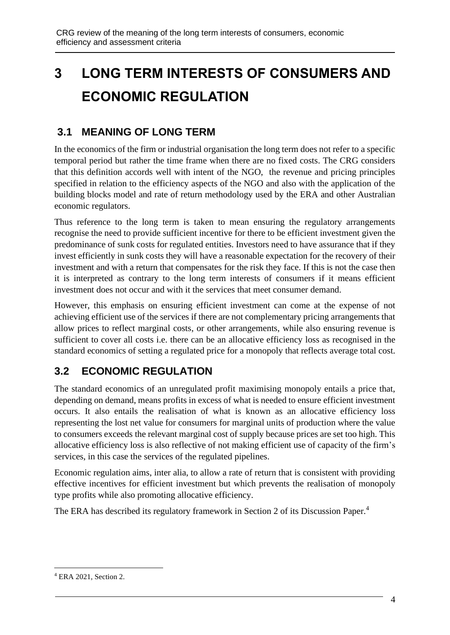# **3 LONG TERM INTERESTS OF CONSUMERS AND ECONOMIC REGULATION**

#### **3.1 MEANING OF LONG TERM**

In the economics of the firm or industrial organisation the long term does not refer to a specific temporal period but rather the time frame when there are no fixed costs. The CRG considers that this definition accords well with intent of the NGO, the revenue and pricing principles specified in relation to the efficiency aspects of the NGO and also with the application of the building blocks model and rate of return methodology used by the ERA and other Australian economic regulators.

Thus reference to the long term is taken to mean ensuring the regulatory arrangements recognise the need to provide sufficient incentive for there to be efficient investment given the predominance of sunk costs for regulated entities. Investors need to have assurance that if they invest efficiently in sunk costs they will have a reasonable expectation for the recovery of their investment and with a return that compensates for the risk they face. If this is not the case then it is interpreted as contrary to the long term interests of consumers if it means efficient investment does not occur and with it the services that meet consumer demand.

However, this emphasis on ensuring efficient investment can come at the expense of not achieving efficient use of the services if there are not complementary pricing arrangements that allow prices to reflect marginal costs, or other arrangements, while also ensuring revenue is sufficient to cover all costs i.e. there can be an allocative efficiency loss as recognised in the standard economics of setting a regulated price for a monopoly that reflects average total cost.

### **3.2 ECONOMIC REGULATION**

The standard economics of an unregulated profit maximising monopoly entails a price that, depending on demand, means profits in excess of what is needed to ensure efficient investment occurs. It also entails the realisation of what is known as an allocative efficiency loss representing the lost net value for consumers for marginal units of production where the value to consumers exceeds the relevant marginal cost of supply because prices are set too high. This allocative efficiency loss is also reflective of not making efficient use of capacity of the firm's services, in this case the services of the regulated pipelines.

Economic regulation aims, inter alia, to allow a rate of return that is consistent with providing effective incentives for efficient investment but which prevents the realisation of monopoly type profits while also promoting allocative efficiency.

The ERA has described its regulatory framework in Section 2 of its Discussion Paper.<sup>4</sup>

<sup>4</sup> ERA 2021, Section 2.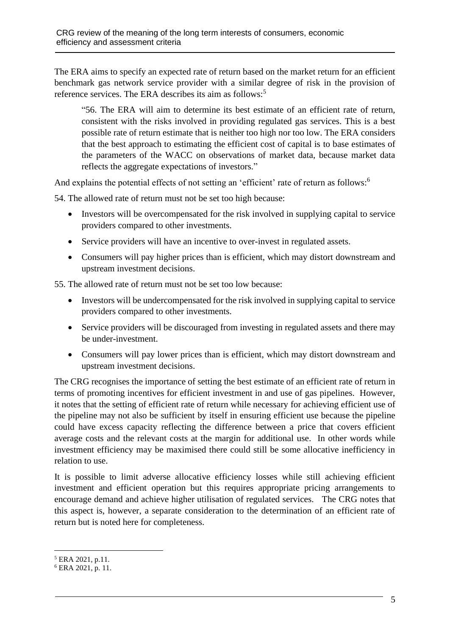The ERA aims to specify an expected rate of return based on the market return for an efficient benchmark gas network service provider with a similar degree of risk in the provision of reference services. The ERA describes its aim as follows:<sup>5</sup>

"56. The ERA will aim to determine its best estimate of an efficient rate of return, consistent with the risks involved in providing regulated gas services. This is a best possible rate of return estimate that is neither too high nor too low. The ERA considers that the best approach to estimating the efficient cost of capital is to base estimates of the parameters of the WACC on observations of market data, because market data reflects the aggregate expectations of investors."

And explains the potential effects of not setting an 'efficient' rate of return as follows:<sup>6</sup>

54. The allowed rate of return must not be set too high because:

- Investors will be overcompensated for the risk involved in supplying capital to service providers compared to other investments.
- Service providers will have an incentive to over-invest in regulated assets.
- Consumers will pay higher prices than is efficient, which may distort downstream and upstream investment decisions.

55. The allowed rate of return must not be set too low because:

- Investors will be undercompensated for the risk involved in supplying capital to service providers compared to other investments.
- Service providers will be discouraged from investing in regulated assets and there may be under-investment.
- Consumers will pay lower prices than is efficient, which may distort downstream and upstream investment decisions.

The CRG recognises the importance of setting the best estimate of an efficient rate of return in terms of promoting incentives for efficient investment in and use of gas pipelines. However, it notes that the setting of efficient rate of return while necessary for achieving efficient use of the pipeline may not also be sufficient by itself in ensuring efficient use because the pipeline could have excess capacity reflecting the difference between a price that covers efficient average costs and the relevant costs at the margin for additional use. In other words while investment efficiency may be maximised there could still be some allocative inefficiency in relation to use.

It is possible to limit adverse allocative efficiency losses while still achieving efficient investment and efficient operation but this requires appropriate pricing arrangements to encourage demand and achieve higher utilisation of regulated services. The CRG notes that this aspect is, however, a separate consideration to the determination of an efficient rate of return but is noted here for completeness.

<sup>5</sup> ERA 2021, p.11.

<sup>6</sup> ERA 2021, p. 11.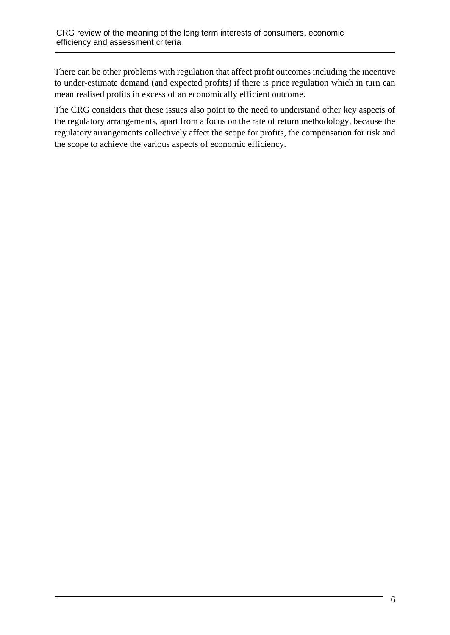There can be other problems with regulation that affect profit outcomes including the incentive to under-estimate demand (and expected profits) if there is price regulation which in turn can mean realised profits in excess of an economically efficient outcome.

The CRG considers that these issues also point to the need to understand other key aspects of the regulatory arrangements, apart from a focus on the rate of return methodology, because the regulatory arrangements collectively affect the scope for profits, the compensation for risk and the scope to achieve the various aspects of economic efficiency.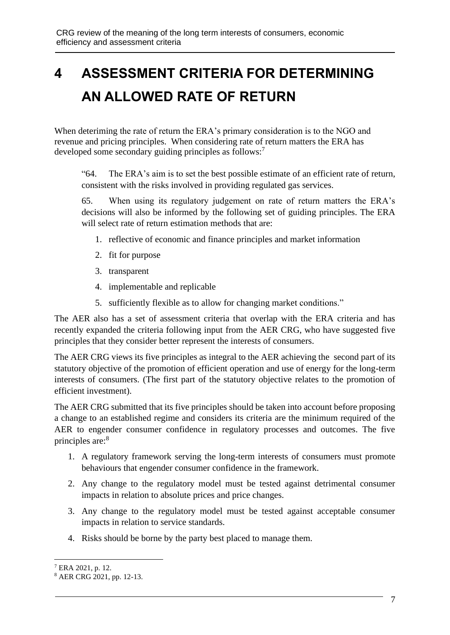# **4 ASSESSMENT CRITERIA FOR DETERMINING AN ALLOWED RATE OF RETURN**

When deteriming the rate of return the ERA's primary consideration is to the NGO and revenue and pricing principles. When considering rate of return matters the ERA has developed some secondary guiding principles as follows:<sup>7</sup>

"64. The ERA's aim is to set the best possible estimate of an efficient rate of return, consistent with the risks involved in providing regulated gas services.

65. When using its regulatory judgement on rate of return matters the ERA's decisions will also be informed by the following set of guiding principles. The ERA will select rate of return estimation methods that are:

- 1. reflective of economic and finance principles and market information
- 2. fit for purpose
- 3. transparent
- 4. implementable and replicable
- 5. sufficiently flexible as to allow for changing market conditions."

The AER also has a set of assessment criteria that overlap with the ERA criteria and has recently expanded the criteria following input from the AER CRG, who have suggested five principles that they consider better represent the interests of consumers.

The AER CRG views its five principles as integral to the AER achieving the second part of its statutory objective of the promotion of efficient operation and use of energy for the long-term interests of consumers. (The first part of the statutory objective relates to the promotion of efficient investment).

The AER CRG submitted that its five principles should be taken into account before proposing a change to an established regime and considers its criteria are the minimum required of the AER to engender consumer confidence in regulatory processes and outcomes. The five principles are:<sup>8</sup>

- 1. A regulatory framework serving the long-term interests of consumers must promote behaviours that engender consumer confidence in the framework.
- 2. Any change to the regulatory model must be tested against detrimental consumer impacts in relation to absolute prices and price changes.
- 3. Any change to the regulatory model must be tested against acceptable consumer impacts in relation to service standards.
- 4. Risks should be borne by the party best placed to manage them.

<sup>7</sup> ERA 2021, p. 12.

<sup>8</sup> AER CRG 2021, pp. 12-13.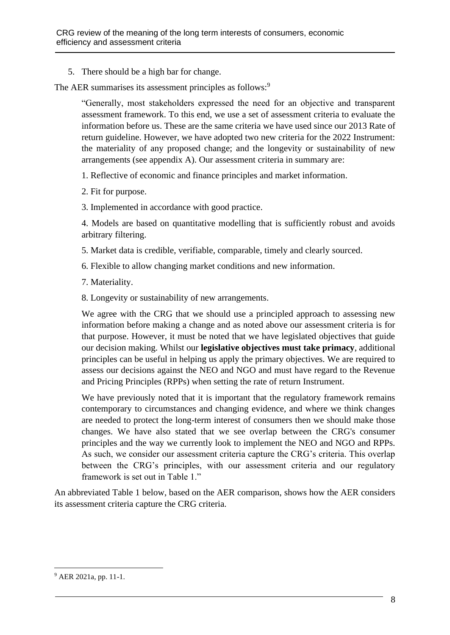5. There should be a high bar for change.

The AER summarises its assessment principles as follows:<sup>9</sup>

"Generally, most stakeholders expressed the need for an objective and transparent assessment framework. To this end, we use a set of assessment criteria to evaluate the information before us. These are the same criteria we have used since our 2013 Rate of return guideline. However, we have adopted two new criteria for the 2022 Instrument: the materiality of any proposed change; and the longevity or sustainability of new arrangements (see appendix A). Our assessment criteria in summary are:

1. Reflective of economic and finance principles and market information.

- 2. Fit for purpose.
- 3. Implemented in accordance with good practice.

4. Models are based on quantitative modelling that is sufficiently robust and avoids arbitrary filtering.

- 5. Market data is credible, verifiable, comparable, timely and clearly sourced.
- 6. Flexible to allow changing market conditions and new information.
- 7. Materiality.
- 8. Longevity or sustainability of new arrangements.

We agree with the CRG that we should use a principled approach to assessing new information before making a change and as noted above our assessment criteria is for that purpose. However, it must be noted that we have legislated objectives that guide our decision making. Whilst our **legislative objectives must take primacy**, additional principles can be useful in helping us apply the primary objectives. We are required to assess our decisions against the NEO and NGO and must have regard to the Revenue and Pricing Principles (RPPs) when setting the rate of return Instrument.

We have previously noted that it is important that the regulatory framework remains contemporary to circumstances and changing evidence, and where we think changes are needed to protect the long-term interest of consumers then we should make those changes. We have also stated that we see overlap between the CRG's consumer principles and the way we currently look to implement the NEO and NGO and RPPs. As such, we consider our assessment criteria capture the CRG's criteria. This overlap between the CRG's principles, with our assessment criteria and our regulatory framework is set out in Table 1."

An abbreviated Table 1 below, based on the AER comparison, shows how the AER considers its assessment criteria capture the CRG criteria.

<sup>9</sup> AER 2021a, pp. 11-1.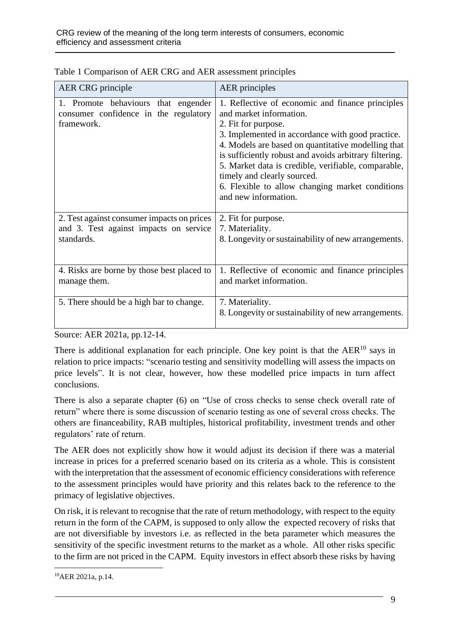| AER CRG principle                                                                                  | <b>AER</b> principles                                                                                                                                                                                                                                                                                                                                                                                                                   |
|----------------------------------------------------------------------------------------------------|-----------------------------------------------------------------------------------------------------------------------------------------------------------------------------------------------------------------------------------------------------------------------------------------------------------------------------------------------------------------------------------------------------------------------------------------|
| 1. Promote behaviours that engender<br>consumer confidence in the regulatory<br>framework.         | 1. Reflective of economic and finance principles<br>and market information.<br>2. Fit for purpose.<br>3. Implemented in accordance with good practice.<br>4. Models are based on quantitative modelling that<br>is sufficiently robust and avoids arbitrary filtering.<br>5. Market data is credible, verifiable, comparable,<br>timely and clearly sourced.<br>6. Flexible to allow changing market conditions<br>and new information. |
| 2. Test against consumer impacts on prices<br>and 3. Test against impacts on service<br>standards. | 2. Fit for purpose.<br>7. Materiality.<br>8. Longevity or sustainability of new arrangements.                                                                                                                                                                                                                                                                                                                                           |
| 4. Risks are borne by those best placed to<br>manage them.                                         | 1. Reflective of economic and finance principles<br>and market information.                                                                                                                                                                                                                                                                                                                                                             |
| 5. There should be a high bar to change.                                                           | 7. Materiality.<br>8. Longevity or sustainability of new arrangements.                                                                                                                                                                                                                                                                                                                                                                  |

Table 1 Comparison of AER CRG and AER assessment principles

Source: AER 2021a, pp.12-14.

There is additional explanation for each principle. One key point is that the  $AER^{10}$  says in relation to price impacts: "scenario testing and sensitivity modelling will assess the impacts on price levels". It is not clear, however, how these modelled price impacts in turn affect conclusions.

There is also a separate chapter (6) on "Use of cross checks to sense check overall rate of return" where there is some discussion of scenario testing as one of several cross checks. The others are financeability, RAB multiples, historical profitability, investment trends and other regulators' rate of return.

The AER does not explicitly show how it would adjust its decision if there was a material increase in prices for a preferred scenario based on its criteria as a whole. This is consistent with the interpretation that the assessment of economic efficiency considerations with reference to the assessment principles would have priority and this relates back to the reference to the primacy of legislative objectives.

On risk, it is relevant to recognise that the rate of return methodology, with respect to the equity return in the form of the CAPM, is supposed to only allow the expected recovery of risks that are not diversifiable by investors i.e. as reflected in the beta parameter which measures the sensitivity of the specific investment returns to the market as a whole. All other risks specific to the firm are not priced in the CAPM. Equity investors in effect absorb these risks by having

<sup>10</sup>AER 2021a, p.14.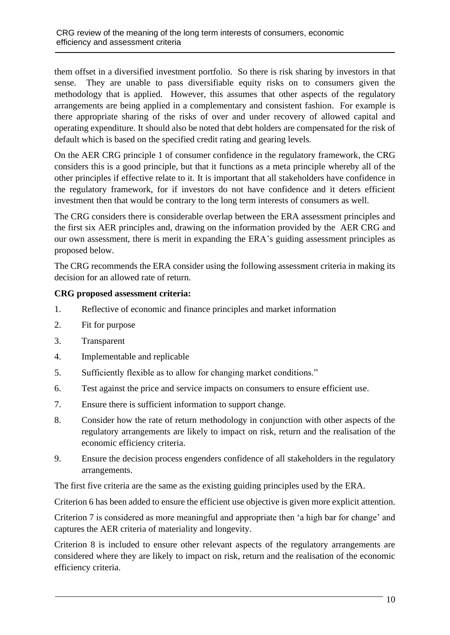them offset in a diversified investment portfolio. So there is risk sharing by investors in that sense. They are unable to pass diversifiable equity risks on to consumers given the methodology that is applied. However, this assumes that other aspects of the regulatory arrangements are being applied in a complementary and consistent fashion. For example is there appropriate sharing of the risks of over and under recovery of allowed capital and operating expenditure. It should also be noted that debt holders are compensated for the risk of default which is based on the specified credit rating and gearing levels.

On the AER CRG principle 1 of consumer confidence in the regulatory framework, the CRG considers this is a good principle, but that it functions as a meta principle whereby all of the other principles if effective relate to it. It is important that all stakeholders have confidence in the regulatory framework, for if investors do not have confidence and it deters efficient investment then that would be contrary to the long term interests of consumers as well.

The CRG considers there is considerable overlap between the ERA assessment principles and the first six AER principles and, drawing on the information provided by the AER CRG and our own assessment, there is merit in expanding the ERA's guiding assessment principles as proposed below.

The CRG recommends the ERA consider using the following assessment criteria in making its decision for an allowed rate of return.

#### **CRG proposed assessment criteria:**

- 1. Reflective of economic and finance principles and market information
- 2. Fit for purpose
- 3. Transparent
- 4. Implementable and replicable
- 5. Sufficiently flexible as to allow for changing market conditions."
- 6. Test against the price and service impacts on consumers to ensure efficient use.
- 7. Ensure there is sufficient information to support change.
- 8. Consider how the rate of return methodology in conjunction with other aspects of the regulatory arrangements are likely to impact on risk, return and the realisation of the economic efficiency criteria.
- 9. Ensure the decision process engenders confidence of all stakeholders in the regulatory arrangements.

The first five criteria are the same as the existing guiding principles used by the ERA.

Criterion 6 has been added to ensure the efficient use objective is given more explicit attention.

Criterion 7 is considered as more meaningful and appropriate then 'a high bar for change' and captures the AER criteria of materiality and longevity.

Criterion 8 is included to ensure other relevant aspects of the regulatory arrangements are considered where they are likely to impact on risk, return and the realisation of the economic efficiency criteria.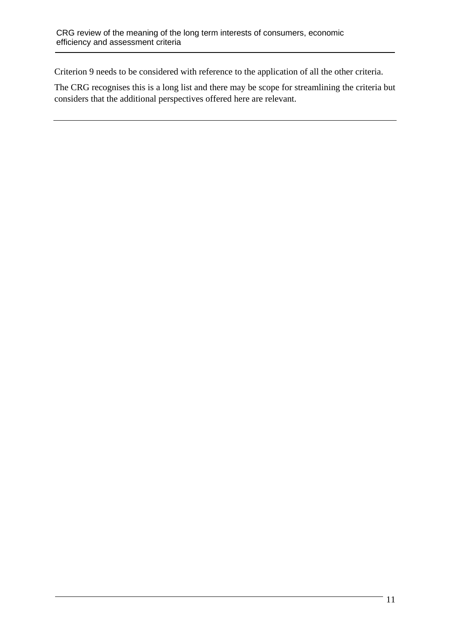Criterion 9 needs to be considered with reference to the application of all the other criteria.

The CRG recognises this is a long list and there may be scope for streamlining the criteria but considers that the additional perspectives offered here are relevant.